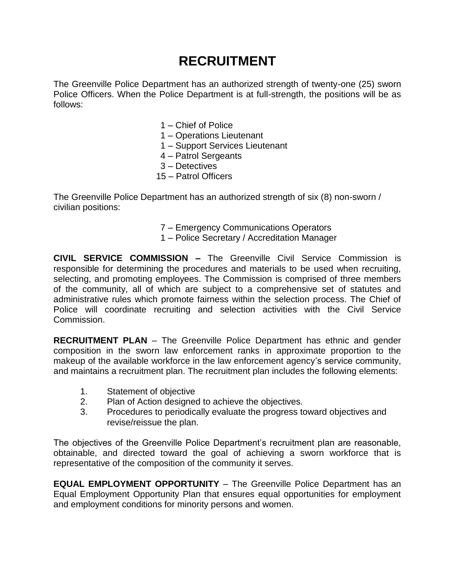## **RECRUITMENT**

The Greenville Police Department has an authorized strength of twenty-one (25) sworn Police Officers. When the Police Department is at full-strength, the positions will be as follows:

- 1 Chief of Police
- 1 Operations Lieutenant
- 1 Support Services Lieutenant
- 4 Patrol Sergeants
- 3 Detectives
- 15 Patrol Officers

The Greenville Police Department has an authorized strength of six (8) non-sworn / civilian positions:

- 7 Emergency Communications Operators
- 1 Police Secretary / Accreditation Manager

**CIVIL SERVICE COMMISSION –** The Greenville Civil Service Commission is responsible for determining the procedures and materials to be used when recruiting, selecting, and promoting employees. The Commission is comprised of three members of the community, all of which are subject to a comprehensive set of statutes and administrative rules which promote fairness within the selection process. The Chief of Police will coordinate recruiting and selection activities with the Civil Service Commission.

**RECRUITMENT PLAN** – The Greenville Police Department has ethnic and gender composition in the sworn law enforcement ranks in approximate proportion to the makeup of the available workforce in the law enforcement agency's service community, and maintains a recruitment plan. The recruitment plan includes the following elements:

- 1. Statement of objective
- 2. Plan of Action designed to achieve the objectives.
- 3. Procedures to periodically evaluate the progress toward objectives and revise/reissue the plan.

The objectives of the Greenville Police Department's recruitment plan are reasonable, obtainable, and directed toward the goal of achieving a sworn workforce that is representative of the composition of the community it serves.

**EQUAL EMPLOYMENT OPPORTUNITY** – The Greenville Police Department has an Equal Employment Opportunity Plan that ensures equal opportunities for employment and employment conditions for minority persons and women.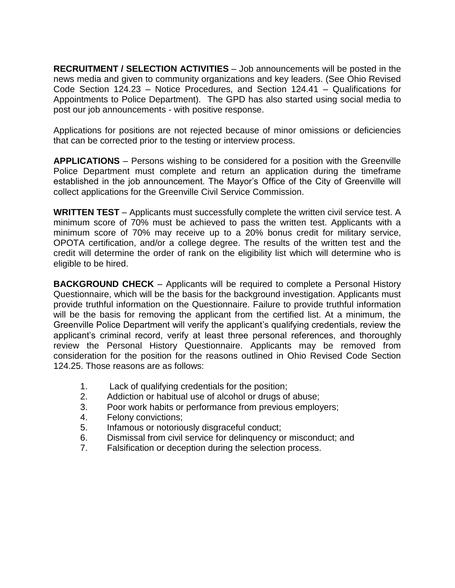**RECRUITMENT / SELECTION ACTIVITIES** – Job announcements will be posted in the news media and given to community organizations and key leaders. (See Ohio Revised Code Section 124.23 – Notice Procedures, and Section 124.41 – Qualifications for Appointments to Police Department). The GPD has also started using social media to post our job announcements - with positive response.

Applications for positions are not rejected because of minor omissions or deficiencies that can be corrected prior to the testing or interview process.

**APPLICATIONS** – Persons wishing to be considered for a position with the Greenville Police Department must complete and return an application during the timeframe established in the job announcement. The Mayor's Office of the City of Greenville will collect applications for the Greenville Civil Service Commission.

**WRITTEN TEST** – Applicants must successfully complete the written civil service test. A minimum score of 70% must be achieved to pass the written test. Applicants with a minimum score of 70% may receive up to a 20% bonus credit for military service, OPOTA certification, and/or a college degree. The results of the written test and the credit will determine the order of rank on the eligibility list which will determine who is eligible to be hired.

**BACKGROUND CHECK** – Applicants will be required to complete a Personal History Questionnaire, which will be the basis for the background investigation. Applicants must provide truthful information on the Questionnaire. Failure to provide truthful information will be the basis for removing the applicant from the certified list. At a minimum, the Greenville Police Department will verify the applicant's qualifying credentials, review the applicant's criminal record, verify at least three personal references, and thoroughly review the Personal History Questionnaire. Applicants may be removed from consideration for the position for the reasons outlined in Ohio Revised Code Section 124.25. Those reasons are as follows:

- 1. Lack of qualifying credentials for the position;
- 2. Addiction or habitual use of alcohol or drugs of abuse;
- 3. Poor work habits or performance from previous employers;
- 4. Felony convictions;
- 5. Infamous or notoriously disgraceful conduct;
- 6. Dismissal from civil service for delinquency or misconduct; and
- 7. Falsification or deception during the selection process.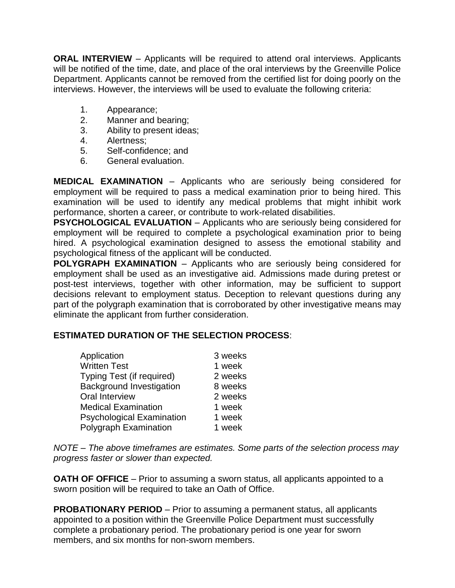**ORAL INTERVIEW** – Applicants will be required to attend oral interviews. Applicants will be notified of the time, date, and place of the oral interviews by the Greenville Police Department. Applicants cannot be removed from the certified list for doing poorly on the interviews. However, the interviews will be used to evaluate the following criteria:

- 1. Appearance;
- 2. Manner and bearing;
- 3. Ability to present ideas;
- 4. Alertness;
- 5. Self-confidence; and
- 6. General evaluation.

**MEDICAL EXAMINATION** – Applicants who are seriously being considered for employment will be required to pass a medical examination prior to being hired. This examination will be used to identify any medical problems that might inhibit work performance, shorten a career, or contribute to work-related disabilities.

**PSYCHOLOGICAL EVALUATION** – Applicants who are seriously being considered for employment will be required to complete a psychological examination prior to being hired. A psychological examination designed to assess the emotional stability and psychological fitness of the applicant will be conducted.

**POLYGRAPH EXAMINATION** – Applicants who are seriously being considered for employment shall be used as an investigative aid. Admissions made during pretest or post-test interviews, together with other information, may be sufficient to support decisions relevant to employment status. Deception to relevant questions during any part of the polygraph examination that is corroborated by other investigative means may eliminate the applicant from further consideration.

## **ESTIMATED DURATION OF THE SELECTION PROCESS**:

| Application                      | 3 weeks |
|----------------------------------|---------|
| <b>Written Test</b>              | 1 week  |
| Typing Test (if required)        | 2 weeks |
| <b>Background Investigation</b>  | 8 weeks |
| Oral Interview                   | 2 weeks |
| <b>Medical Examination</b>       | 1 week  |
| <b>Psychological Examination</b> | 1 week  |
| Polygraph Examination            | 1 week  |

*NOTE – The above timeframes are estimates. Some parts of the selection process may progress faster or slower than expected.*

**OATH OF OFFICE** – Prior to assuming a sworn status, all applicants appointed to a sworn position will be required to take an Oath of Office.

**PROBATIONARY PERIOD** – Prior to assuming a permanent status, all applicants appointed to a position within the Greenville Police Department must successfully complete a probationary period. The probationary period is one year for sworn members, and six months for non-sworn members.